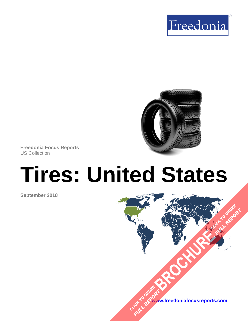



**Freedonia Focus Reports** US Collection

# **Tires: United States**

**September 2018**

**[www.freedoniafocusreports.com](https://www.freedoniafocusreports.com/redirect.asp?progid=89534&url=/)** CLICK TO ORDER **FULL REPORT** 

**[BROCHURE](https://www.freedoniafocusreports.com/Tires-United-States-FF50014/?progid=89541) CLICK TO ORDER** 

**FULL REPORT**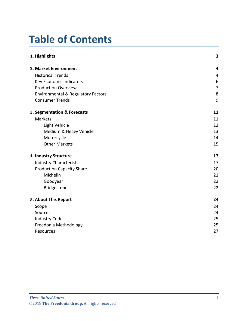# **Table of Contents**

| 1. Highlights                                 | 3              |
|-----------------------------------------------|----------------|
| 2. Market Environment                         | 4              |
| <b>Historical Trends</b>                      | 4              |
| Key Economic Indicators                       | 6              |
| <b>Production Overview</b>                    | $\overline{7}$ |
| <b>Environmental &amp; Regulatory Factors</b> | 8              |
| <b>Consumer Trends</b>                        | 9              |
| 3. Segmentation & Forecasts                   | 11             |
| <b>Markets</b>                                | 11             |
| <b>Light Vehicle</b>                          | 12             |
| Medium & Heavy Vehicle                        | 13             |
| Motorcycle                                    | 14             |
| <b>Other Markets</b>                          | 15             |
| 4. Industry Structure                         | 17             |
| <b>Industry Characteristics</b>               | 17             |
| <b>Production Capacity Share</b>              | 20             |
| Michelin                                      | 21             |
| Goodyear                                      | 22             |
| Bridgestone                                   | 22             |
| 5. About This Report                          | 24             |
| Scope                                         | 24             |
| Sources                                       | 24             |
| <b>Industry Codes</b>                         | 25             |
| Freedonia Methodology                         | 25             |
| Resources                                     | 27             |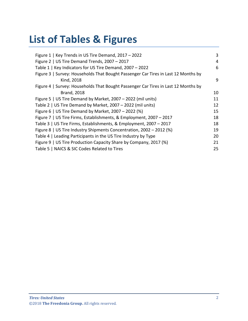# **List of Tables & Figures**

| Figure 1   Key Trends in US Tire Demand, 2017 - 2022                               | 3  |
|------------------------------------------------------------------------------------|----|
| Figure 2   US Tire Demand Trends, 2007 - 2017                                      | 4  |
| Table 1   Key Indicators for US Tire Demand, 2007 - 2022                           | 6  |
| Figure 3   Survey: Households That Bought Passenger Car Tires in Last 12 Months by |    |
| Kind, 2018                                                                         | 9  |
| Figure 4   Survey: Households That Bought Passenger Car Tires in Last 12 Months by |    |
| <b>Brand, 2018</b>                                                                 | 10 |
| Figure 5   US Tire Demand by Market, 2007 - 2022 (mil units)                       | 11 |
| Table 2   US Tire Demand by Market, 2007 - 2022 (mil units)                        | 12 |
| Figure 6   US Tire Demand by Market, 2007 – 2022 (%)                               | 15 |
| Figure 7   US Tire Firms, Establishments, & Employment, 2007 - 2017                | 18 |
| Table 3   US Tire Firms, Establishments, & Employment, 2007 - 2017                 | 18 |
| Figure 8   US Tire Industry Shipments Concentration, 2002 - 2012 (%)               | 19 |
| Table 4   Leading Participants in the US Tire Industry by Type                     | 20 |
| Figure 9   US Tire Production Capacity Share by Company, 2017 (%)                  | 21 |
| Table 5   NAICS & SIC Codes Related to Tires                                       | 25 |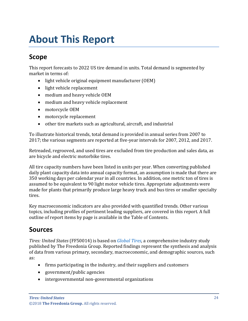# <span id="page-3-0"></span>**About This Report**

### <span id="page-3-1"></span>**Scope**

This report forecasts to 2022 US tire demand in units. Total demand is segmented by market in terms of:

- light vehicle original equipment manufacturer (OEM)
- light vehicle replacement
- medium and heavy vehicle OEM
- medium and heavy vehicle replacement
- motorcycle OEM
- motorcycle replacement
- other tire markets such as agricultural, aircraft, and industrial

To illustrate historical trends, total demand is provided in annual series from 2007 to 2017; the various segments are reported at five-year intervals for 2007, 2012, and 2017.

Retreaded, regrooved, and used tires are excluded from tire production and sales data, as are bicycle and electric motorbike tires.

All tire capacity numbers have been listed in units per year. When converting published daily plant capacity data into annual capacity format, an assumption is made that there are 350 working days per calendar year in all countries. In addition, one metric ton of tires is assumed to be equivalent to 90 light motor vehicle tires. Appropriate adjustments were made for plants that primarily produce large heavy truck and bus tires or smaller specialty tires.

Key macroeconomic indicators are also provided with quantified trends. Other various topics, including profiles of pertinent leading suppliers, are covered in this report. A full outline of report items by page is available in the Table of Contents.

## <span id="page-3-2"></span>**Sources**

*Tires: United States* (FF50014) is based on *[Global Tires,](http://www.freedoniagroup.com/DocumentDetails.aspx?ReferrerId=FL-FOCUS&studyid=3687)* a comprehensive industry study published by The Freedonia Group. Reported findings represent the synthesis and analysis of data from various primary, secondary, macroeconomic, and demographic sources, such as:

- firms participating in the industry, and their suppliers and customers
- government/public agencies
- intergovernmental non-governmental organizations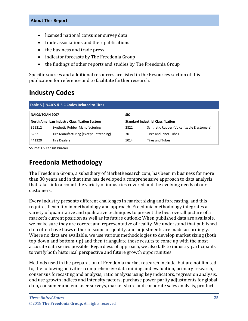- licensed national consumer survey data
- trade associations and their publications
- the business and trade press
- indicator forecasts by The Freedonia Group
- the findings of other reports and studies by The Freedonia Group

Specific sources and additional resources are listed in the Resources section of this publication for reference and to facilitate further research.

## <span id="page-4-0"></span>**Industry Codes**

<span id="page-4-2"></span>

| Table 5   NAICS & SIC Codes Related to Tires                                                      |                                        |            |                                            |  |
|---------------------------------------------------------------------------------------------------|----------------------------------------|------------|--------------------------------------------|--|
| <b>NAICS/SCIAN 2007</b>                                                                           |                                        | <b>SIC</b> |                                            |  |
| <b>Standard Industrial Classification</b><br><b>North American Industry Classification System</b> |                                        |            |                                            |  |
| 325212                                                                                            | Synthetic Rubber Manufacturing         | 2822       | Synthetic Rubber (Vulcanizable Elastomers) |  |
| 326211                                                                                            | Tire Manufacturing (except Retreading) | 3011       | Tires and Inner Tubes                      |  |
| 441320                                                                                            | <b>Tire Dealers</b>                    | 5014       | <b>Tires and Tubes</b>                     |  |

Source: US Census Bureau

# <span id="page-4-1"></span>**Freedonia Methodology**

The Freedonia Group, a subsidiary of MarketResearch.com, has been in business for more than 30 years and in that time has developed a comprehensive approach to data analysis that takes into account the variety of industries covered and the evolving needs of our customers.

Every industry presents different challenges in market sizing and forecasting, and this requires flexibility in methodology and approach. Freedonia methodology integrates a variety of quantitative and qualitative techniques to present the best overall picture of a market's current position as well as its future outlook: When published data are available, we make sure they are correct and representative of reality. We understand that published data often have flaws either in scope or quality, and adjustments are made accordingly. Where no data are available, we use various methodologies to develop market sizing (both top-down and bottom-up) and then triangulate those results to come up with the most accurate data series possible. Regardless of approach, we also talk to industry participants to verify both historical perspective and future growth opportunities.

Methods used in the preparation of Freedonia market research include, but are not limited to, the following activities: comprehensive data mining and evaluation, primary research, consensus forecasting and analysis, ratio analysis using key indicators, regression analysis, end use growth indices and intensity factors, purchase power parity adjustments for global data, consumer and end user surveys, market share and corporate sales analysis, product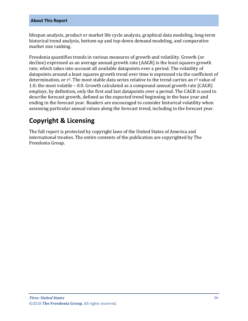#### **About This Report**

lifespan analysis, product or market life cycle analysis, graphical data modeling, long-term historical trend analysis, bottom-up and top-down demand modeling, and comparative market size ranking.

Freedonia quantifies trends in various measures of growth and volatility. Growth (or decline) expressed as an average annual growth rate (AAGR) is the least squares growth rate, which takes into account all available datapoints over a period. The volatility of datapoints around a least squares growth trend over time is expressed via the coefficient of determination, or  $r^2$ . The most stable data series relative to the trend carries an  $r^2$  value of 1.0; the most volatile – 0.0. Growth calculated as a compound annual growth rate (CAGR) employs, by definition, only the first and last datapoints over a period. The CAGR is used to describe forecast growth, defined as the expected trend beginning in the base year and ending in the forecast year. Readers are encouraged to consider historical volatility when assessing particular annual values along the forecast trend, including in the forecast year.

## **Copyright & Licensing**

The full report is protected by copyright laws of the United States of America and international treaties. The entire contents of the publication are copyrighted by The Freedonia Group.